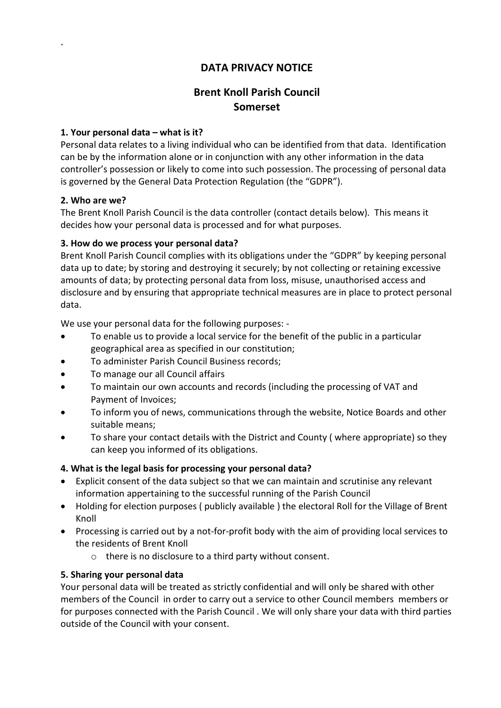## DATA PRIVACY NOTICE

# Brent Knoll Parish Council Somerset

#### 1. Your personal data – what is it?

Personal data relates to a living individual who can be identified from that data. Identification can be by the information alone or in conjunction with any other information in the data controller's possession or likely to come into such possession. The processing of personal data is governed by the General Data Protection Regulation (the "GDPR").

#### 2. Who are we?

.

The Brent Knoll Parish Council is the data controller (contact details below). This means it decides how your personal data is processed and for what purposes.

#### 3. How do we process your personal data?

Brent Knoll Parish Council complies with its obligations under the "GDPR" by keeping personal data up to date; by storing and destroying it securely; by not collecting or retaining excessive amounts of data; by protecting personal data from loss, misuse, unauthorised access and disclosure and by ensuring that appropriate technical measures are in place to protect personal data.

We use your personal data for the following purposes: -

- To enable us to provide a local service for the benefit of the public in a particular geographical area as specified in our constitution;
- To administer Parish Council Business records;
- To manage our all Council affairs
- To maintain our own accounts and records (including the processing of VAT and Payment of Invoices;
- To inform you of news, communications through the website, Notice Boards and other suitable means;
- To share your contact details with the District and County ( where appropriate) so they can keep you informed of its obligations.

## 4. What is the legal basis for processing your personal data?

- Explicit consent of the data subject so that we can maintain and scrutinise any relevant information appertaining to the successful running of the Parish Council
- Holding for election purposes ( publicly available ) the electoral Roll for the Village of Brent Knoll
- Processing is carried out by a not-for-profit body with the aim of providing local services to the residents of Brent Knoll
	- o there is no disclosure to a third party without consent.

## 5. Sharing your personal data

Your personal data will be treated as strictly confidential and will only be shared with other members of the Council in order to carry out a service to other Council members members or for purposes connected with the Parish Council . We will only share your data with third parties outside of the Council with your consent.